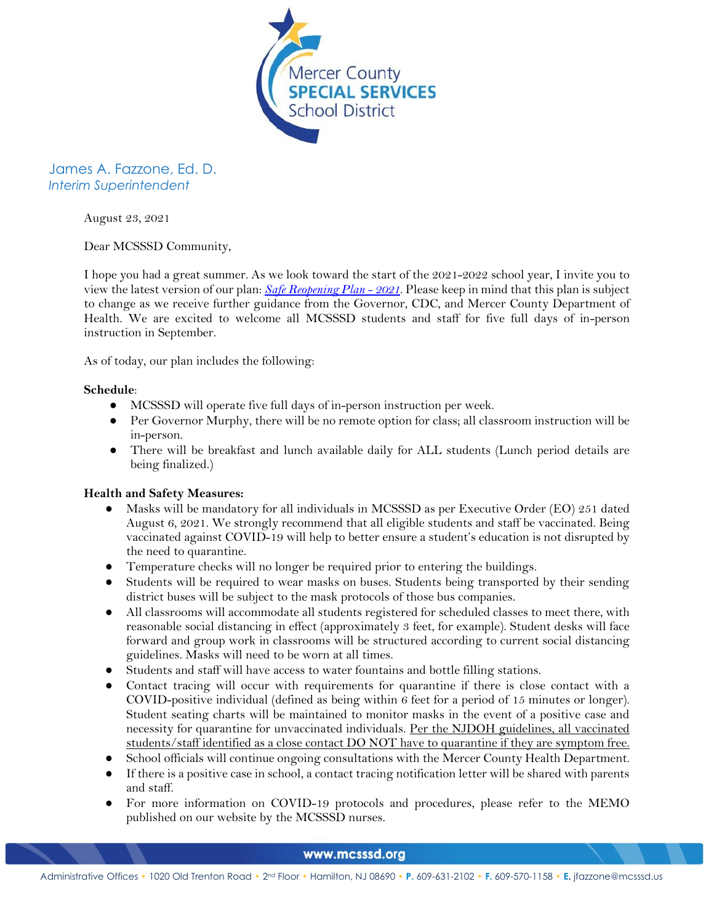

James A. Fazzone, Ed. D. *Interim Superintendent*

August 23, 2021

Dear MCSSSD Community,

I hope you had a great summer. As we look toward the start of the 2021-2022 school year, I invite you to view the latest version of our plan: *[Safe Reopening Plan -](https://363113bb-c3cc-4d74-ab00-728805daf4f7.filesusr.com/ugd/f12ee5_fc2a6519172f449c89613ed51fdcbed5.pdf) 2021*. Please keep in mind that this plan is subject to change as we receive further guidance from the Governor, CDC, and Mercer County Department of Health. We are excited to welcome all MCSSSD students and staff for five full days of in-person instruction in September.

As of today, our plan includes the following:

## **Schedule**:

- MCSSSD will operate five full days of in-person instruction per week.
- Per Governor Murphy, there will be no remote option for class; all classroom instruction will be in-person.
- There will be breakfast and lunch available daily for ALL students (Lunch period details are being finalized.)

## **Health and Safety Measures:**

- Masks will be mandatory for all individuals in MCSSSD as per Executive Order (EO) 251 dated August 6, 2021. We strongly recommend that all eligible students and staff be vaccinated. Being vaccinated against COVID-19 will help to better ensure a student's education is not disrupted by the need to quarantine.
- Temperature checks will no longer be required prior to entering the buildings.
- Students will be required to wear masks on buses. Students being transported by their sending district buses will be subject to the mask protocols of those bus companies.
- All classrooms will accommodate all students registered for scheduled classes to meet there, with reasonable social distancing in effect (approximately 3 feet, for example). Student desks will face forward and group work in classrooms will be structured according to current social distancing guidelines. Masks will need to be worn at all times.
- Students and staff will have access to water fountains and bottle filling stations.
- Contact tracing will occur with requirements for quarantine if there is close contact with a COVID-positive individual (defined as being within 6 feet for a period of 15 minutes or longer). Student seating charts will be maintained to monitor masks in the event of a positive case and necessity for quarantine for unvaccinated individuals. Per the NJDOH guidelines, all vaccinated students/staff identified as a close contact DO NOT have to quarantine if they are symptom free.
- School officials will continue ongoing consultations with the Mercer County Health Department.
- If there is a positive case in school, a contact tracing notification letter will be shared with parents and staff.
- For more information on COVID-19 protocols and procedures, please refer to the MEMO published on our website by the MCSSSD nurses.

## www.mcsssd.org